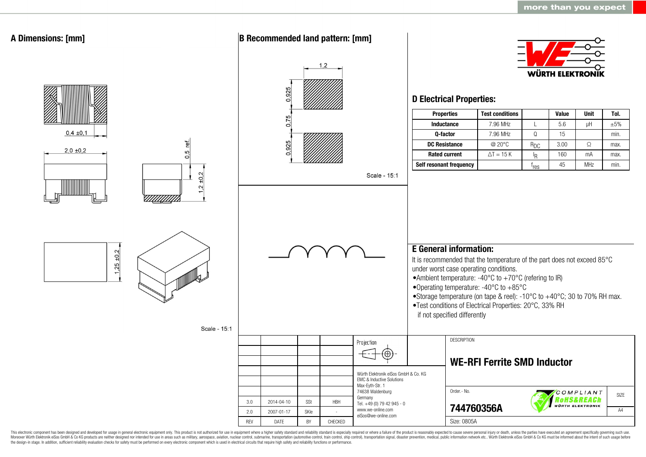

This electronic component has been designed and developed for usage in general electronic equipment only. This product is not authorized for use in equipment where a higher safety standard and reliability standard is espec Moreover Würth Elektronik eiSos GmbH & Co KG products are neither designed nor intended for use in areas such as military, aerospace, aviation, nuclear control, submarine, transportation (automotive control, ship control), the design-in stage. In addition, sufficient reliability evaluation checks for safety must be performed on every electronic component which is used in electrical circuits that require high safety and reliability functions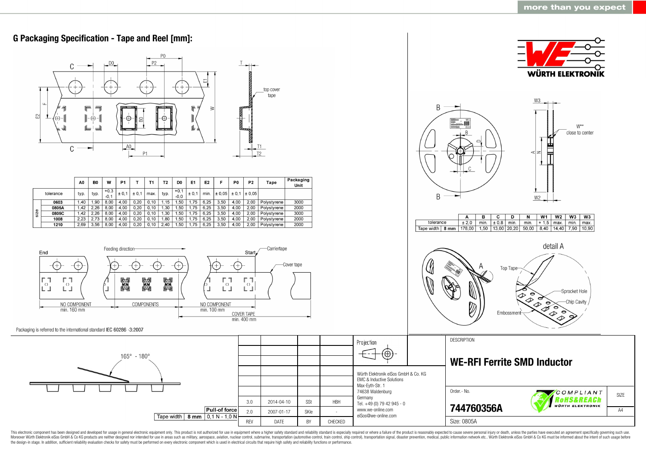

This electronic component has been designed and developed for usage in general electronic equipment only. This product is not authorized for use in equipment where a higher safety standard and reliability standard as espec Moreover Würth Elektronik eiSos GmbH & Co KG products are neither designed nor intended for use in areas such as military, aerospace, aviation, nuclear control, submarine, transportation (automotive control, ship control), the design-in stage. In addition, sufficient reliability evaluation checks for safety must be performed on every electronic component which is used in electrical circuits that require high safety and reliability functions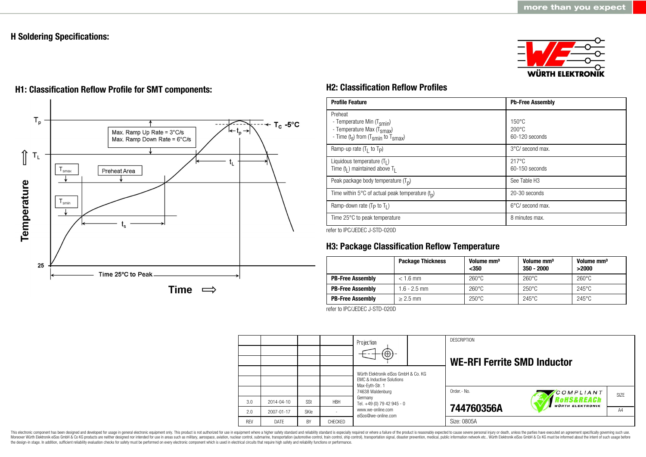### **H Soldering Specifications:**







# **H1: Classification Reflow Profile for SMT components: H2: Classification Reflow Profiles**

| <b>Profile Feature</b>                                                                                                                        | <b>Pb-Free Assembly</b>                                |
|-----------------------------------------------------------------------------------------------------------------------------------------------|--------------------------------------------------------|
| Preheat<br>- Temperature Min (T <sub>smin</sub> )<br>- Temperature Max (T <sub>Smax</sub> )<br>- Time $(t_s)$ from $(T_{smin}$ to $T_{smax})$ | $150^{\circ}$ C<br>$200^{\circ}$ C<br>$60-120$ seconds |
| Ramp-up rate $(T_1$ to $T_p$ )                                                                                                                | 3°C/ second max.                                       |
| Liquidous temperature $(T1)$<br>Time $(tl)$ maintained above T <sub>1</sub>                                                                   | $217^{\circ}$ C<br>$60-150$ seconds                    |
| Peak package body temperature $(Tn)$                                                                                                          | See Table H <sub>3</sub>                               |
| Time within 5 $\degree$ C of actual peak temperature $(t_n)$                                                                                  | 20-30 seconds                                          |
| Ramp-down rate $(T_P$ to $T_I$ )                                                                                                              | $6^{\circ}$ C/ second max.                             |
| Time 25°C to peak temperature                                                                                                                 | 8 minutes max.                                         |

refer to IPC/JEDEC J-STD-020D

## **H3: Package Classification Reflow Temperature**

|                         | <b>Package Thickness</b> | Volume mm <sup>3</sup><br>$350$ | Volume mm <sup>3</sup><br>$350 - 2000$ | Volume mm <sup>3</sup><br>>2000 |
|-------------------------|--------------------------|---------------------------------|----------------------------------------|---------------------------------|
| <b>PB-Free Assembly</b> | $< 1.6$ mm               | $260^{\circ}$ C                 | $260^{\circ}$ C                        | $260^{\circ}$ C                 |
| <b>PB-Free Assembly</b> | $1.6 - 2.5$ mm           | $260^{\circ}$ C                 | $250^{\circ}$ C                        | $245^{\circ}$ C                 |
| <b>PB-Free Assembly</b> | $\geq$ 2.5 mm            | $250^{\circ}$ C                 | $245^{\circ}$ C                        | $245^{\circ}$ C                 |

refer to IPC/JEDEC J-STD-020D



This electronic component has been designed and developed for usage in general electronic equipment only. This product is not authorized for use in equipment where a higher safety standard and reliability standard is espec Moreover Würth Elektronik eiSos GmbH & Co KG products are neither designed nor intended for use in areas such as military, aerospace, aviation, nuclear control, submarine, transportation (automotive control, ship control), the design-in stage. In addition, sufficient reliability evaluation checks for safety must be performed on every electronic component which is used in electrical circuits that require high safety and reliability functions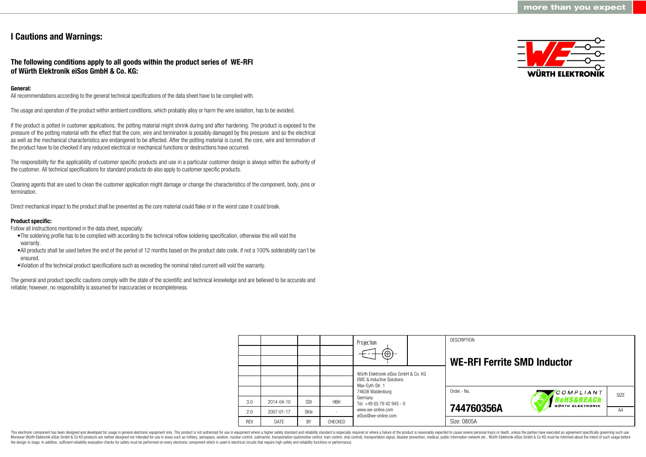### **I Cautions and Warnings:**

**The following conditions apply to all goods within the product series of WE-RFI of Würth Elektronik eiSos GmbH & Co. KG:**

#### **General:**

All recommendations according to the general technical specifications of the data sheet have to be complied with.

The usage and operation of the product within ambient conditions, which probably alloy or harm the wire isolation, has to be avoided.

If the product is potted in customer applications, the potting material might shrink during and after hardening. The product is exposed to the pressure of the potting material with the effect that the core, wire and termination is possibly damaged by this pressure and so the electrical as well as the mechanical characteristics are endangered to be affected. After the potting material is cured, the core, wire and termination of the product have to be checked if any reduced electrical or mechanical functions or destructions have occurred.

The responsibility for the applicability of customer specific products and use in a particular customer design is always within the authority of the customer. All technical specifications for standard products do also apply to customer specific products.

Cleaning agents that are used to clean the customer application might damage or change the characteristics of the component, body, pins or termination.

Direct mechanical impact to the product shall be prevented as the core material could flake or in the worst case it could break.

#### **Product specific:**

Follow all instructions mentioned in the data sheet, especially:

- •The soldering profile has to be complied with according to the technical reflow soldering specification, otherwise this will void the warranty.
- •All products shall be used before the end of the period of 12 months based on the product date code, if not a 100% solderability can´t be ensured.
- •Violation of the technical product specifications such as exceeding the nominal rated current will void the warranty.

The general and product specific cautions comply with the state of the scientific and technical knowledge and are believed to be accurate and reliable; however, no responsibility is assumed for inaccuracies or incompleteness.



|            |                  |      |            | Projection<br>$\bigoplus$                                                                       |  | <b>DESCRIPTION</b><br><b>WE-RFI Ferrite SMD Inductor</b> |                                      |      |
|------------|------------------|------|------------|-------------------------------------------------------------------------------------------------|--|----------------------------------------------------------|--------------------------------------|------|
|            |                  |      |            | Würth Elektronik eiSos GmbH & Co. KG<br><b>EMC &amp; Inductive Solutions</b><br>Max-Evth-Str. 1 |  |                                                          |                                      |      |
|            |                  |      |            | 74638 Waldenburg                                                                                |  | Order.- No.                                              | COMPLIANT                            | SIZE |
| 3.0        | $2014 - 04 - 10$ | SSt  | <b>HBH</b> | Germany<br>Tel. +49 (0) 79 42 945 - 0<br>www.we-online.com<br>eiSos@we-online.com               |  |                                                          | oHS&REACh<br><b>WÜRTH ELEKTRONIK</b> |      |
| 2.0        | 2007-01-17       | SKIe |            |                                                                                                 |  | 744760356A                                               |                                      | A4   |
| <b>REV</b> | DATE             | BY   | CHECKED    |                                                                                                 |  | Size: 0805A                                              |                                      |      |

This electronic component has been designed and developed for usage in general electronic equipment only. This product is not authorized for use in equipment where a higher safety standard and reliability standard is espec Moreover Würth Elektronik eiSos GmbH & Co KG products are neither designed nor intended for use in areas such as military, aerospace, aviation, nuclear control, submarine, transportation (automotive control), tain control) the design-in stage. In addition, sufficient reliability evaluation checks for safety must be performed on every electronic component which is used in electrical circuits that require high safety and reliability functions